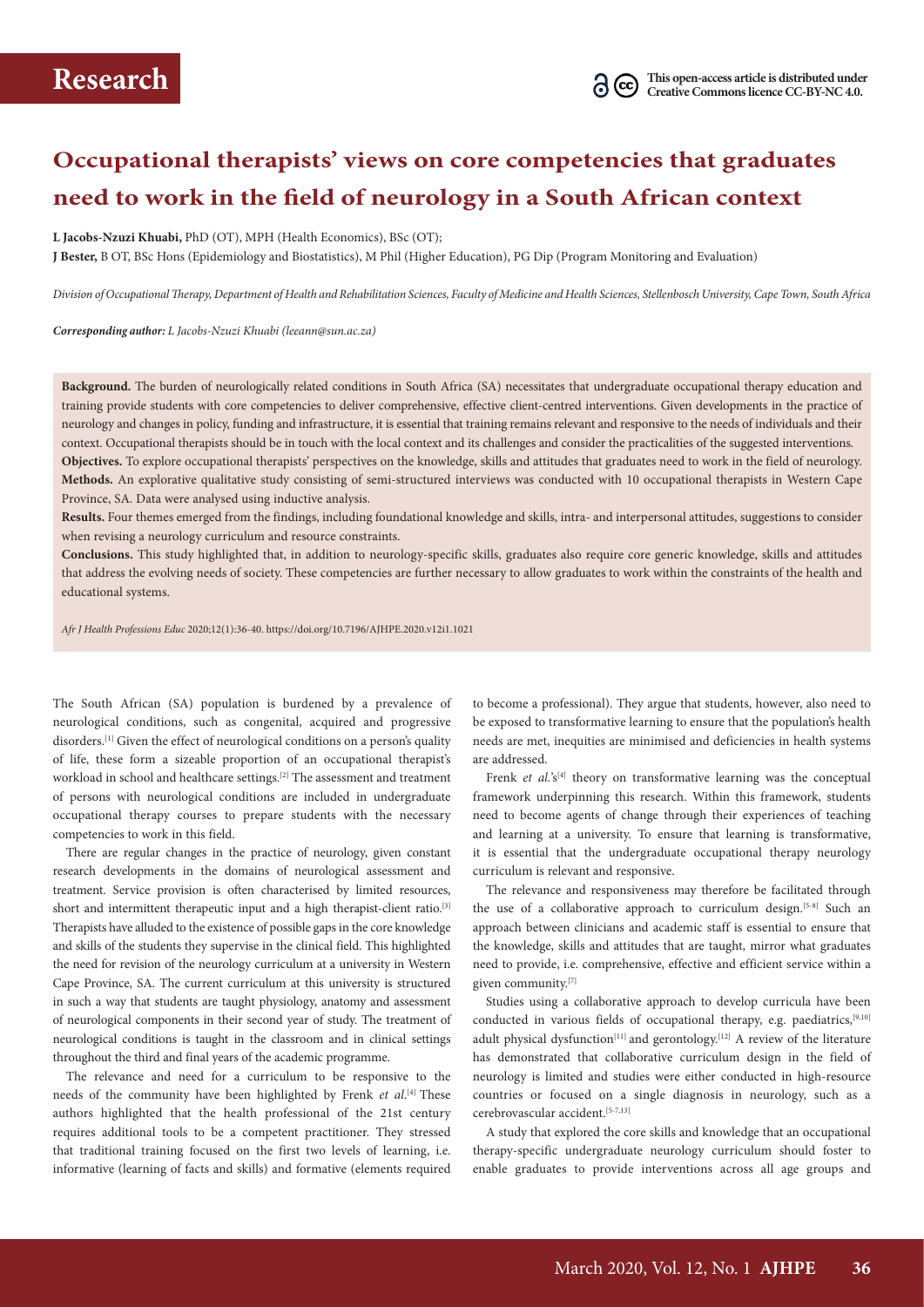# **Occupational therapists' views on core competencies that graduates need to work in the field of neurology in a South African context**

#### **L Jacobs-Nzuzi Khuabi,** PhD (OT), MPH (Health Economics), BSc (OT);

**J Bester,** B OT, BSc Hons (Epidemiology and Biostatistics), M Phil (Higher Education), PG Dip (Program Monitoring and Evaluation)

*Division of Occupational Therapy, Department of Health and Rehabilitation Sciences, Faculty of Medicine and Health Sciences, Stellenbosch University, Cape Town, South Africa*

*Corresponding author: L Jacobs-Nzuzi Khuabi (leeann@sun.ac.za)*

**Background.** The burden of neurologically related conditions in South Africa (SA) necessitates that undergraduate occupational therapy education and training provide students with core competencies to deliver comprehensive, effective client-centred interventions. Given developments in the practice of neurology and changes in policy, funding and infrastructure, it is essential that training remains relevant and responsive to the needs of individuals and their context. Occupational therapists should be in touch with the local context and its challenges and consider the practicalities of the suggested interventions. **Objectives.** To explore occupational therapists' perspectives on the knowledge, skills and attitudes that graduates need to work in the field of neurology. **Methods.** An explorative qualitative study consisting of semi-structured interviews was conducted with 10 occupational therapists in Western Cape Province, SA. Data were analysed using inductive analysis.

**Results.** Four themes emerged from the findings, including foundational knowledge and skills, intra- and interpersonal attitudes, suggestions to consider when revising a neurology curriculum and resource constraints.

**Conclusions.** This study highlighted that, in addition to neurology-specific skills, graduates also require core generic knowledge, skills and attitudes that address the evolving needs of society. These competencies are further necessary to allow graduates to work within the constraints of the health and educational systems.

*Afr J Health Professions Educ* 2020;12(1):36-40. https://doi.org/10.7196/AJHPE.2020.v12i1.1021

The South African (SA) population is burdened by a prevalence of neurological conditions, such as congenital, acquired and progressive disorders.[1] Given the effect of neurological conditions on a person's quality of life, these form a sizeable proportion of an occupational therapist's workload in school and healthcare settings.[2] The assessment and treatment of persons with neurological conditions are included in undergraduate occupational therapy courses to prepare students with the necessary competencies to work in this field.

There are regular changes in the practice of neurology, given constant research developments in the domains of neurological assessment and treatment. Service provision is often characterised by limited resources, short and intermittent therapeutic input and a high therapist-client ratio.<sup>[3]</sup> Therapists have alluded to the existence of possible gaps in the core knowledge and skills of the students they supervise in the clinical field. This highlighted the need for revision of the neurology curriculum at a university in Western Cape Province, SA. The current curriculum at this university is structured in such a way that students are taught physiology, anatomy and assessment of neurological components in their second year of study. The treatment of neurological conditions is taught in the classroom and in clinical settings throughout the third and final years of the academic programme.

The relevance and need for a curriculum to be responsive to the needs of the community have been highlighted by Frenk *et al*. [4] These authors highlighted that the health professional of the 21st century requires additional tools to be a competent practitioner. They stressed that traditional training focused on the first two levels of learning, i.e. informative (learning of facts and skills) and formative (elements required

to become a professional). They argue that students, however, also need to be exposed to transformative learning to ensure that the population's health needs are met, inequities are minimised and deficiencies in health systems are addressed.

Frenk *et al.*'s<sup>[4]</sup> theory on transformative learning was the conceptual framework underpinning this research. Within this framework, students need to become agents of change through their experiences of teaching and learning at a university. To ensure that learning is transformative, it is essential that the undergraduate occupational therapy neurology curriculum is relevant and responsive.

The relevance and responsiveness may therefore be facilitated through the use of a collaborative approach to curriculum design.<sup>[5-8]</sup> Such an approach between clinicians and academic staff is essential to ensure that the knowledge, skills and attitudes that are taught, mirror what graduates need to provide, i.e. comprehensive, effective and efficient service within a given community.[7]

Studies using a collaborative approach to develop curricula have been conducted in various fields of occupational therapy, e.g. paediatrics,<sup>[9,10]</sup> adult physical dysfunction<sup>[11]</sup> and gerontology.<sup>[12]</sup> A review of the literature has demonstrated that collaborative curriculum design in the field of neurology is limited and studies were either conducted in high-resource countries or focused on a single diagnosis in neurology, such as a cerebrovascular accident.[5-7,13]

A study that explored the core skills and knowledge that an occupational therapy-specific undergraduate neurology curriculum should foster to enable graduates to provide interventions across all age groups and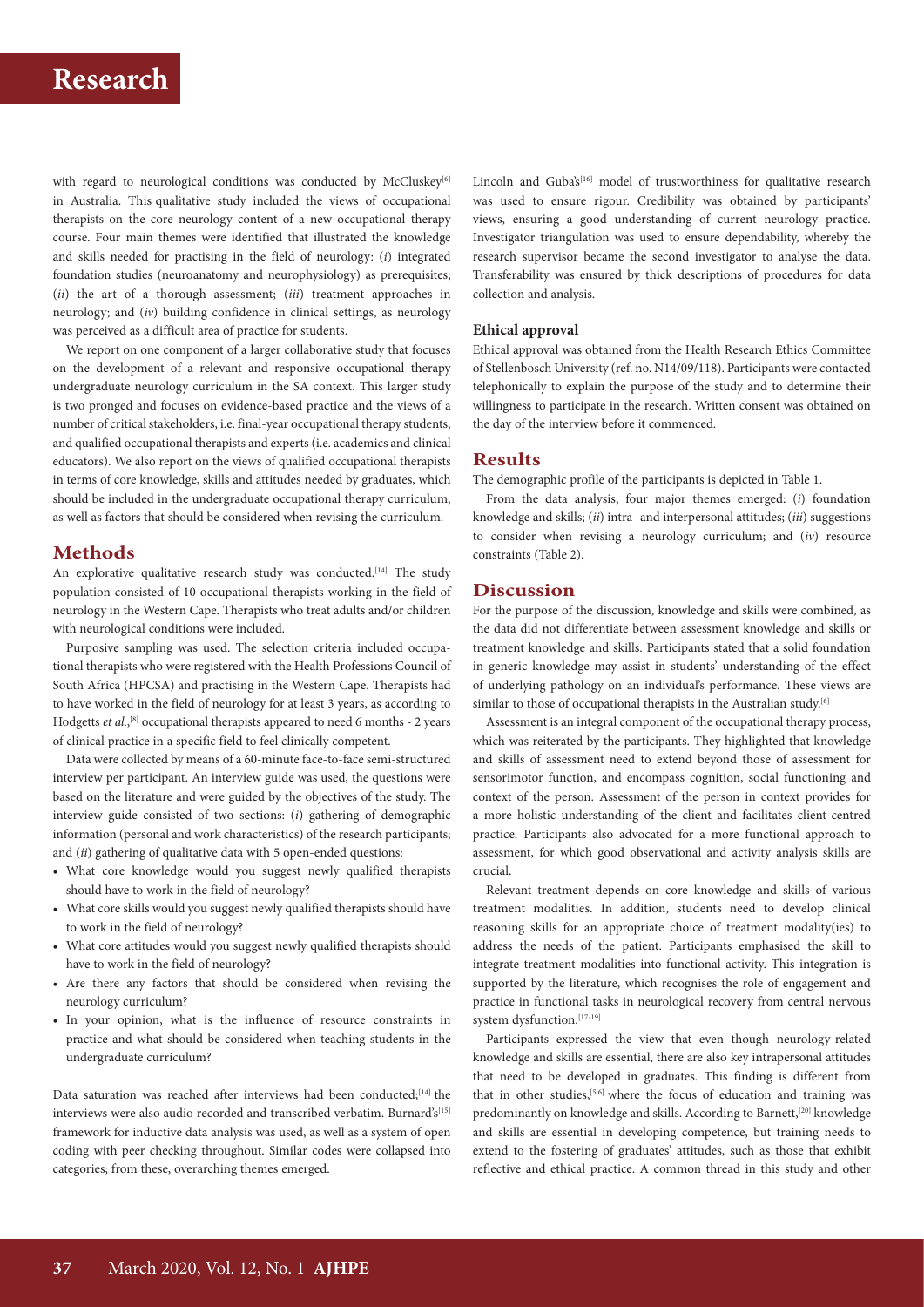# **Research**

with regard to neurological conditions was conducted by McCluskey<sup>[6]</sup> in Australia. This qualitative study included the views of occupational therapists on the core neurology content of a new occupational therapy course. Four main themes were identified that illustrated the knowledge and skills needed for practising in the field of neurology: (*i*) integrated foundation studies (neuroanatomy and neurophysiology) as prerequisites; (*ii*) the art of a thorough assessment; (*iii*) treatment approaches in neurology; and (*iv*) building confidence in clinical settings, as neurology was perceived as a difficult area of practice for students.

We report on one component of a larger collaborative study that focuses on the development of a relevant and responsive occupational therapy undergraduate neurology curriculum in the SA context. This larger study is two pronged and focuses on evidence-based practice and the views of a number of critical stakeholders, i.e. final-year occupational therapy students, and qualified occupational therapists and experts (i.e. academics and clinical educators). We also report on the views of qualified occupational therapists in terms of core knowledge, skills and attitudes needed by graduates, which should be included in the undergraduate occupational therapy curriculum, as well as factors that should be considered when revising the curriculum.

## **Methods**

An explorative qualitative research study was conducted.<sup>[14]</sup> The study population consisted of 10 occupational therapists working in the field of neurology in the Western Cape. Therapists who treat adults and/or children with neurological conditions were included.

Purposive sampling was used. The selection criteria included occupational therapists who were registered with the Health Professions Council of South Africa (HPCSA) and practising in the Western Cape. Therapists had to have worked in the field of neurology for at least 3 years, as according to Hodgetts *et al.*,<sup>[8]</sup> occupational therapists appeared to need 6 months - 2 years of clinical practice in a specific field to feel clinically competent.

Data were collected by means of a 60-minute face-to-face semi-structured interview per participant. An interview guide was used, the questions were based on the literature and were guided by the objectives of the study. The interview guide consisted of two sections: (*i*) gathering of demographic information (personal and work characteristics) of the research participants; and (*ii*) gathering of qualitative data with 5 open-ended questions:

- What core knowledge would you suggest newly qualified therapists should have to work in the field of neurology?
- What core skills would you suggest newly qualified therapists should have to work in the field of neurology?
- What core attitudes would you suggest newly qualified therapists should have to work in the field of neurology?
- Are there any factors that should be considered when revising the neurology curriculum?
- In your opinion, what is the influence of resource constraints in practice and what should be considered when teaching students in the undergraduate curriculum?

Data saturation was reached after interviews had been conducted;<sup>[14]</sup> the interviews were also audio recorded and transcribed verbatim. Burnard's[15] framework for inductive data analysis was used, as well as a system of open coding with peer checking throughout. Similar codes were collapsed into categories; from these, overarching themes emerged.

Lincoln and Guba's<sup>[16]</sup> model of trustworthiness for qualitative research was used to ensure rigour. Credibility was obtained by participants' views, ensuring a good understanding of current neurology practice. Investigator triangulation was used to ensure dependability, whereby the research supervisor became the second investigator to analyse the data. Transferability was ensured by thick descriptions of procedures for data collection and analysis.

### **Ethical approval**

Ethical approval was obtained from the Health Research Ethics Committee of Stellenbosch University (ref. no. N14/09/118). Participants were contacted telephonically to explain the purpose of the study and to determine their willingness to participate in the research. Written consent was obtained on the day of the interview before it commenced.

### **Results**

The demographic profile of the participants is depicted in Table 1.

From the data analysis, four major themes emerged: (*i*) foundation knowledge and skills; (*ii*) intra- and interpersonal attitudes; (*iii*) suggestions to consider when revising a neurology curriculum; and (*iv*) resource constraints (Table 2).

### **Discussion**

For the purpose of the discussion, knowledge and skills were combined, as the data did not differentiate between assessment knowledge and skills or treatment knowledge and skills. Participants stated that a solid foundation in generic knowledge may assist in students' understanding of the effect of underlying pathology on an individual's performance. These views are similar to those of occupational therapists in the Australian study.<sup>[6]</sup>

Assessment is an integral component of the occupational therapy process, which was reiterated by the participants. They highlighted that knowledge and skills of assessment need to extend beyond those of assessment for sensorimotor function, and encompass cognition, social functioning and context of the person. Assessment of the person in context provides for a more holistic understanding of the client and facilitates client-centred practice. Participants also advocated for a more functional approach to assessment, for which good observational and activity analysis skills are crucial.

Relevant treatment depends on core knowledge and skills of various treatment modalities. In addition, students need to develop clinical reasoning skills for an appropriate choice of treatment modality(ies) to address the needs of the patient. Participants emphasised the skill to integrate treatment modalities into functional activity. This integration is supported by the literature, which recognises the role of engagement and practice in functional tasks in neurological recovery from central nervous system dysfunction.<sup>[17-19]</sup>

Participants expressed the view that even though neurology-related knowledge and skills are essential, there are also key intrapersonal attitudes that need to be developed in graduates. This finding is different from that in other studies,  $[5,6]$  where the focus of education and training was predominantly on knowledge and skills. According to Barnett,<sup>[20]</sup> knowledge and skills are essential in developing competence, but training needs to extend to the fostering of graduates' attitudes, such as those that exhibit reflective and ethical practice. A common thread in this study and other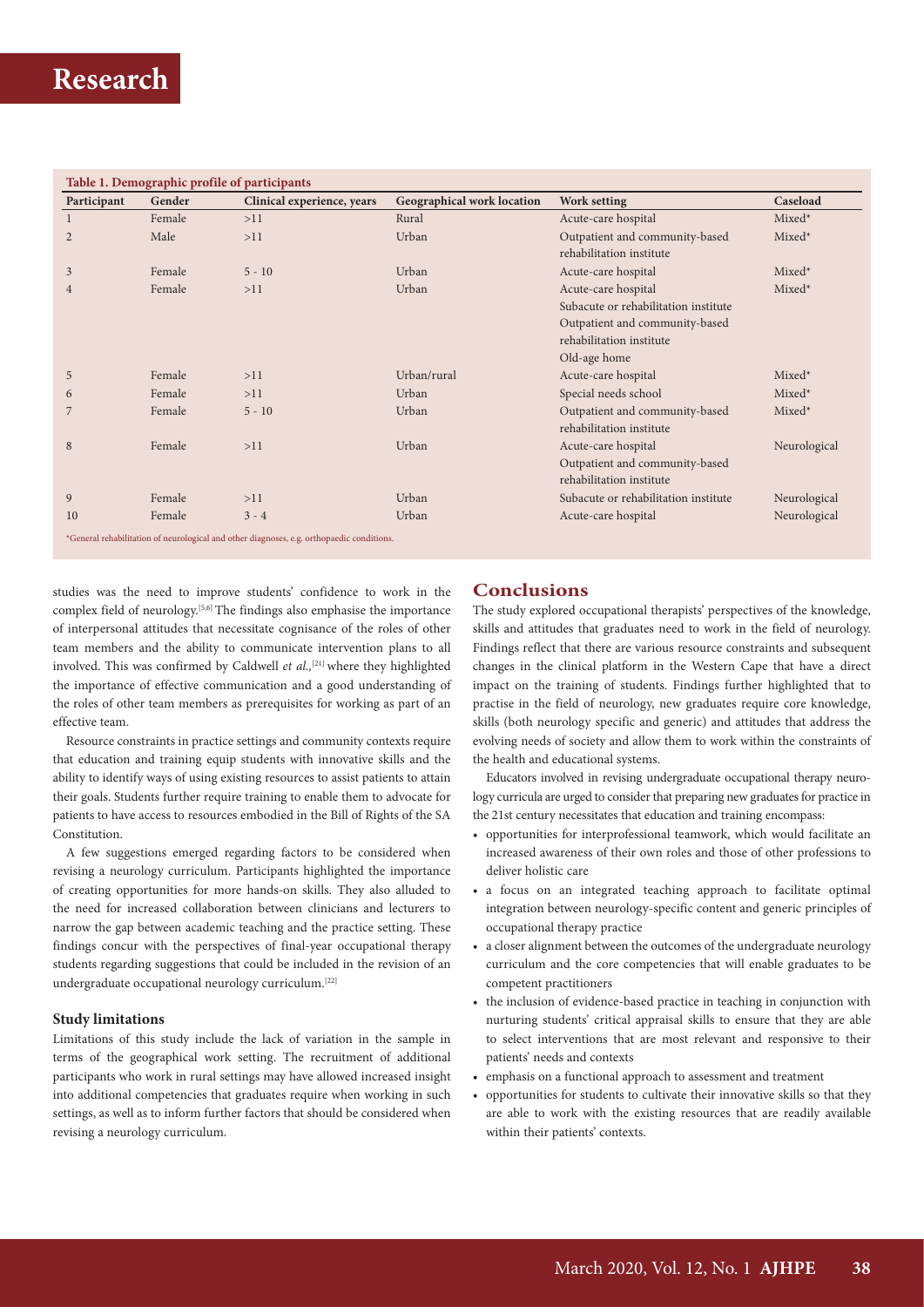| Participant | Gender | Clinical experience, years | <b>Geographical work location</b> | <b>Work setting</b>                  | Caseload     |
|-------------|--------|----------------------------|-----------------------------------|--------------------------------------|--------------|
|             | Female | >11                        | Rural                             | Acute-care hospital                  | Mixed*       |
|             | Male   | >11                        | Urban                             | Outpatient and community-based       | $Mixed*$     |
|             |        |                            |                                   | rehabilitation institute             |              |
|             | Female | $5 - 10$                   | Urban                             | Acute-care hospital                  | $Mixed*$     |
|             | Female | >11                        | Urban                             | Acute-care hospital                  | Mixed*       |
|             |        |                            |                                   | Subacute or rehabilitation institute |              |
|             |        |                            |                                   | Outpatient and community-based       |              |
|             |        |                            |                                   | rehabilitation institute             |              |
|             |        |                            |                                   | Old-age home                         |              |
|             | Female | >11                        | Urban/rural                       | Acute-care hospital                  | $Mixed*$     |
| 6           | Female | >11                        | Urban                             | Special needs school                 | Mixed*       |
|             | Female | $5 - 10$                   | Urban                             | Outpatient and community-based       | $Mixed*$     |
|             |        |                            |                                   | rehabilitation institute             |              |
|             | Female | >11                        | Urban                             | Acute-care hospital                  | Neurological |
|             |        |                            |                                   | Outpatient and community-based       |              |
|             |        |                            |                                   | rehabilitation institute             |              |
| 9           | Female | >11                        | Urban                             | Subacute or rehabilitation institute | Neurological |
| 10          | Female | $3 - 4$                    | Urban                             | Acute-care hospital                  | Neurological |

studies was the need to improve students' confidence to work in the complex field of neurology.[5,6] The findings also emphasise the importance of interpersonal attitudes that necessitate cognisance of the roles of other team members and the ability to communicate intervention plans to all involved. This was confirmed by Caldwell *et al.*,<sup>[21]</sup> where they highlighted the importance of effective communication and a good understanding of the roles of other team members as prerequisites for working as part of an effective team.

Resource constraints in practice settings and community contexts require that education and training equip students with innovative skills and the ability to identify ways of using existing resources to assist patients to attain their goals. Students further require training to enable them to advocate for patients to have access to resources embodied in the Bill of Rights of the SA Constitution.

A few suggestions emerged regarding factors to be considered when revising a neurology curriculum. Participants highlighted the importance of creating opportunities for more hands-on skills. They also alluded to the need for increased collaboration between clinicians and lecturers to narrow the gap between academic teaching and the practice setting. These findings concur with the perspectives of final-year occupational therapy students regarding suggestions that could be included in the revision of an undergraduate occupational neurology curriculum.[22]

### **Study limitations**

Limitations of this study include the lack of variation in the sample in terms of the geographical work setting. The recruitment of additional participants who work in rural settings may have allowed increased insight into additional competencies that graduates require when working in such settings, as well as to inform further factors that should be considered when revising a neurology curriculum.

## **Conclusions**

The study explored occupational therapists' perspectives of the knowledge, skills and attitudes that graduates need to work in the field of neurology. Findings reflect that there are various resource constraints and subsequent changes in the clinical platform in the Western Cape that have a direct impact on the training of students. Findings further highlighted that to practise in the field of neurology, new graduates require core knowledge, skills (both neurology specific and generic) and attitudes that address the evolving needs of society and allow them to work within the constraints of the health and educational systems.

Educators involved in revising undergraduate occupational therapy neurology curricula are urged to consider that preparing new graduates for practice in the 21st century necessitates that education and training encompass:

- opportunities for interprofessional teamwork, which would facilitate an increased awareness of their own roles and those of other professions to deliver holistic care
- a focus on an integrated teaching approach to facilitate optimal integration between neurology-specific content and generic principles of occupational therapy practice
- a closer alignment between the outcomes of the undergraduate neurology curriculum and the core competencies that will enable graduates to be competent practitioners
- the inclusion of evidence-based practice in teaching in conjunction with nurturing students' critical appraisal skills to ensure that they are able to select interventions that are most relevant and responsive to their patients' needs and contexts
- emphasis on a functional approach to assessment and treatment
- opportunities for students to cultivate their innovative skills so that they are able to work with the existing resources that are readily available within their patients' contexts.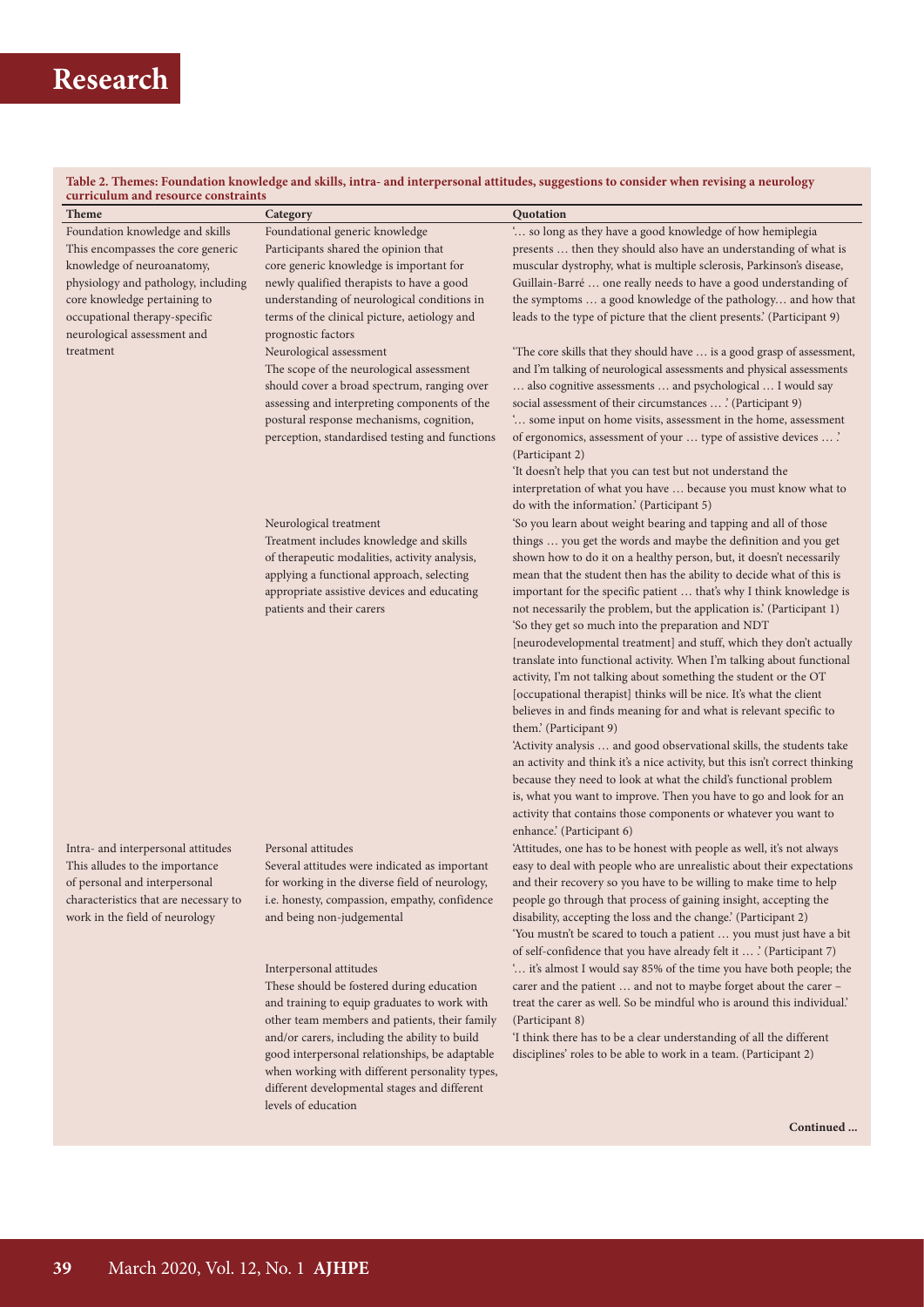# **Research**

#### **Table 2. Themes: Foundation knowledge and skills, intra- and interpersonal attitudes, suggestions to consider when revising a neurology curriculum and resource constraints**

| curriculum and resource constraints<br><b>Theme</b>                     |                                                                                                                                                                                                                                                                  | Quotation                                                                                                                                                                                                                                                                                                                                                                                                                                                                                                                                                                                                                                                                                                                                                                                                                                                                                                                                                                                                                                                                                                                                                                                                                                         |
|-------------------------------------------------------------------------|------------------------------------------------------------------------------------------------------------------------------------------------------------------------------------------------------------------------------------------------------------------|---------------------------------------------------------------------------------------------------------------------------------------------------------------------------------------------------------------------------------------------------------------------------------------------------------------------------------------------------------------------------------------------------------------------------------------------------------------------------------------------------------------------------------------------------------------------------------------------------------------------------------------------------------------------------------------------------------------------------------------------------------------------------------------------------------------------------------------------------------------------------------------------------------------------------------------------------------------------------------------------------------------------------------------------------------------------------------------------------------------------------------------------------------------------------------------------------------------------------------------------------|
| Foundation knowledge and skills                                         | Category<br>Foundational generic knowledge                                                                                                                                                                                                                       | ' so long as they have a good knowledge of how hemiplegia                                                                                                                                                                                                                                                                                                                                                                                                                                                                                                                                                                                                                                                                                                                                                                                                                                                                                                                                                                                                                                                                                                                                                                                         |
| This encompasses the core generic                                       | Participants shared the opinion that                                                                                                                                                                                                                             | presents  then they should also have an understanding of what is                                                                                                                                                                                                                                                                                                                                                                                                                                                                                                                                                                                                                                                                                                                                                                                                                                                                                                                                                                                                                                                                                                                                                                                  |
| knowledge of neuroanatomy,                                              | core generic knowledge is important for                                                                                                                                                                                                                          | muscular dystrophy, what is multiple sclerosis, Parkinson's disease,                                                                                                                                                                                                                                                                                                                                                                                                                                                                                                                                                                                                                                                                                                                                                                                                                                                                                                                                                                                                                                                                                                                                                                              |
| physiology and pathology, including                                     | newly qualified therapists to have a good                                                                                                                                                                                                                        | Guillain-Barré  one really needs to have a good understanding of                                                                                                                                                                                                                                                                                                                                                                                                                                                                                                                                                                                                                                                                                                                                                                                                                                                                                                                                                                                                                                                                                                                                                                                  |
| core knowledge pertaining to                                            | understanding of neurological conditions in                                                                                                                                                                                                                      | the symptoms  a good knowledge of the pathology and how that                                                                                                                                                                                                                                                                                                                                                                                                                                                                                                                                                                                                                                                                                                                                                                                                                                                                                                                                                                                                                                                                                                                                                                                      |
| occupational therapy-specific                                           | terms of the clinical picture, aetiology and                                                                                                                                                                                                                     | leads to the type of picture that the client presents.' (Participant 9)                                                                                                                                                                                                                                                                                                                                                                                                                                                                                                                                                                                                                                                                                                                                                                                                                                                                                                                                                                                                                                                                                                                                                                           |
| neurological assessment and                                             | prognostic factors                                                                                                                                                                                                                                               |                                                                                                                                                                                                                                                                                                                                                                                                                                                                                                                                                                                                                                                                                                                                                                                                                                                                                                                                                                                                                                                                                                                                                                                                                                                   |
| treatment                                                               | Neurological assessment<br>The scope of the neurological assessment<br>should cover a broad spectrum, ranging over<br>assessing and interpreting components of the<br>postural response mechanisms, cognition,<br>perception, standardised testing and functions | 'The core skills that they should have  is a good grasp of assessment,<br>and I'm talking of neurological assessments and physical assessments<br>also cognitive assessments  and psychological  I would say<br>social assessment of their circumstances  ' (Participant 9)<br>' some input on home visits, assessment in the home, assessment<br>of ergonomics, assessment of your  type of assistive devices  '<br>(Participant 2)                                                                                                                                                                                                                                                                                                                                                                                                                                                                                                                                                                                                                                                                                                                                                                                                              |
|                                                                         |                                                                                                                                                                                                                                                                  | 'It doesn't help that you can test but not understand the                                                                                                                                                                                                                                                                                                                                                                                                                                                                                                                                                                                                                                                                                                                                                                                                                                                                                                                                                                                                                                                                                                                                                                                         |
|                                                                         |                                                                                                                                                                                                                                                                  | interpretation of what you have  because you must know what to                                                                                                                                                                                                                                                                                                                                                                                                                                                                                                                                                                                                                                                                                                                                                                                                                                                                                                                                                                                                                                                                                                                                                                                    |
|                                                                         |                                                                                                                                                                                                                                                                  | do with the information.' (Participant 5)                                                                                                                                                                                                                                                                                                                                                                                                                                                                                                                                                                                                                                                                                                                                                                                                                                                                                                                                                                                                                                                                                                                                                                                                         |
|                                                                         | Neurological treatment<br>Treatment includes knowledge and skills<br>of therapeutic modalities, activity analysis,<br>applying a functional approach, selecting<br>appropriate assistive devices and educating<br>patients and their carers                      | 'So you learn about weight bearing and tapping and all of those<br>things  you get the words and maybe the definition and you get<br>shown how to do it on a healthy person, but, it doesn't necessarily<br>mean that the student then has the ability to decide what of this is<br>important for the specific patient  that's why I think knowledge is<br>not necessarily the problem, but the application is.' (Participant 1)<br>'So they get so much into the preparation and NDT<br>[neurodevelopmental treatment] and stuff, which they don't actually<br>translate into functional activity. When I'm talking about functional<br>activity, I'm not talking about something the student or the OT<br>[occupational therapist] thinks will be nice. It's what the client<br>believes in and finds meaning for and what is relevant specific to<br>them.' (Participant 9)<br>'Activity analysis  and good observational skills, the students take<br>an activity and think it's a nice activity, but this isn't correct thinking<br>because they need to look at what the child's functional problem<br>is, what you want to improve. Then you have to go and look for an<br>activity that contains those components or whatever you want to |
|                                                                         |                                                                                                                                                                                                                                                                  | enhance.' (Participant 6)                                                                                                                                                                                                                                                                                                                                                                                                                                                                                                                                                                                                                                                                                                                                                                                                                                                                                                                                                                                                                                                                                                                                                                                                                         |
| Intra- and interpersonal attitudes<br>This alludes to the importance    | Personal attitudes<br>Several attitudes were indicated as important                                                                                                                                                                                              | 'Attitudes, one has to be honest with people as well, it's not always<br>easy to deal with people who are unrealistic about their expectations                                                                                                                                                                                                                                                                                                                                                                                                                                                                                                                                                                                                                                                                                                                                                                                                                                                                                                                                                                                                                                                                                                    |
| of personal and interpersonal                                           | for working in the diverse field of neurology,                                                                                                                                                                                                                   | and their recovery so you have to be willing to make time to help                                                                                                                                                                                                                                                                                                                                                                                                                                                                                                                                                                                                                                                                                                                                                                                                                                                                                                                                                                                                                                                                                                                                                                                 |
| characteristics that are necessary to<br>work in the field of neurology | i.e. honesty, compassion, empathy, confidence<br>and being non-judgemental                                                                                                                                                                                       | people go through that process of gaining insight, accepting the<br>disability, accepting the loss and the change.' (Participant 2)<br>'You mustn't be scared to touch a patient  you must just have a bit<br>of self-confidence that you have already felt it  ' (Participant 7)                                                                                                                                                                                                                                                                                                                                                                                                                                                                                                                                                                                                                                                                                                                                                                                                                                                                                                                                                                 |
|                                                                         | Interpersonal attitudes                                                                                                                                                                                                                                          | ' it's almost I would say 85% of the time you have both people; the                                                                                                                                                                                                                                                                                                                                                                                                                                                                                                                                                                                                                                                                                                                                                                                                                                                                                                                                                                                                                                                                                                                                                                               |
|                                                                         | These should be fostered during education                                                                                                                                                                                                                        | carer and the patient  and not to maybe forget about the carer -                                                                                                                                                                                                                                                                                                                                                                                                                                                                                                                                                                                                                                                                                                                                                                                                                                                                                                                                                                                                                                                                                                                                                                                  |
|                                                                         | and training to equip graduates to work with                                                                                                                                                                                                                     | treat the carer as well. So be mindful who is around this individual.'                                                                                                                                                                                                                                                                                                                                                                                                                                                                                                                                                                                                                                                                                                                                                                                                                                                                                                                                                                                                                                                                                                                                                                            |
|                                                                         | other team members and patients, their family                                                                                                                                                                                                                    | (Participant 8)                                                                                                                                                                                                                                                                                                                                                                                                                                                                                                                                                                                                                                                                                                                                                                                                                                                                                                                                                                                                                                                                                                                                                                                                                                   |
|                                                                         | and/or carers, including the ability to build<br>good interpersonal relationships, be adaptable                                                                                                                                                                  | 'I think there has to be a clear understanding of all the different<br>disciplines' roles to be able to work in a team. (Participant 2)                                                                                                                                                                                                                                                                                                                                                                                                                                                                                                                                                                                                                                                                                                                                                                                                                                                                                                                                                                                                                                                                                                           |
|                                                                         | when working with different personality types,                                                                                                                                                                                                                   |                                                                                                                                                                                                                                                                                                                                                                                                                                                                                                                                                                                                                                                                                                                                                                                                                                                                                                                                                                                                                                                                                                                                                                                                                                                   |
|                                                                         | different developmental stages and different                                                                                                                                                                                                                     |                                                                                                                                                                                                                                                                                                                                                                                                                                                                                                                                                                                                                                                                                                                                                                                                                                                                                                                                                                                                                                                                                                                                                                                                                                                   |

levels of education